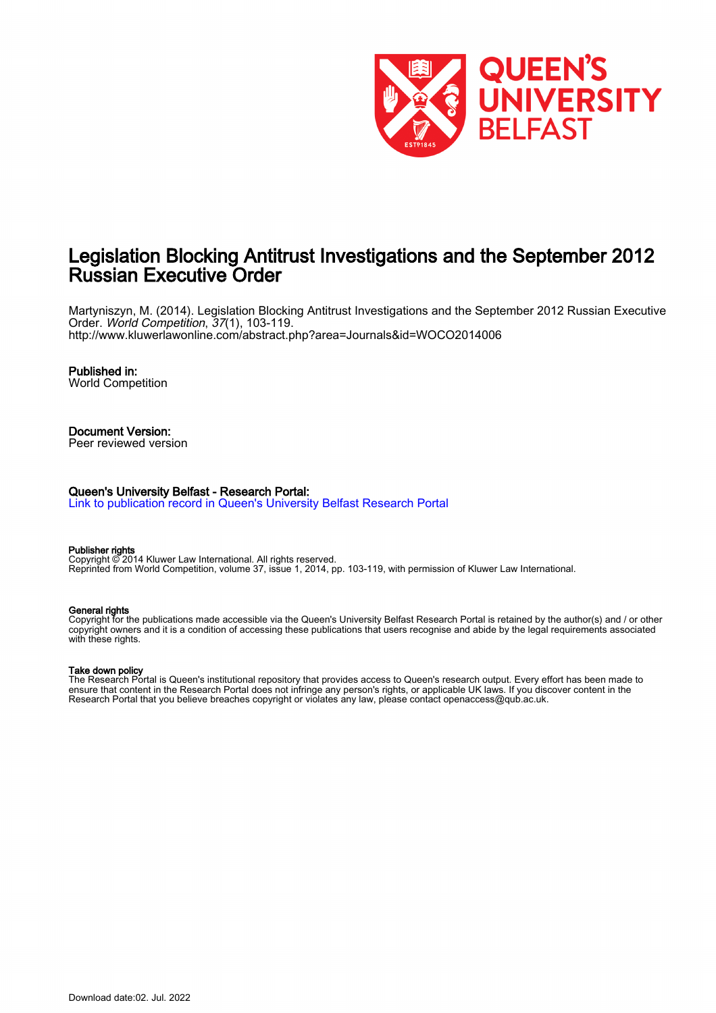

# Legislation Blocking Antitrust Investigations and the September 2012 Russian Executive Order

Martyniszyn, M. (2014). Legislation Blocking Antitrust Investigations and the September 2012 Russian Executive Order. World Competition, 37(1), 103-119. <http://www.kluwerlawonline.com/abstract.php?area=Journals&id=WOCO2014006>

## Published in:

World Competition

#### Document Version: Peer reviewed version

#### Queen's University Belfast - Research Portal:

[Link to publication record in Queen's University Belfast Research Portal](https://pure.qub.ac.uk/en/publications/35ff8fbb-3876-4adf-bf30-e5a2e67e4269)

#### Publisher rights

Copyright © 2014 Kluwer Law International. All rights reserved. Reprinted from World Competition, volume 37, issue 1, 2014, pp. 103-119, with permission of Kluwer Law International.

#### General rights

Copyright for the publications made accessible via the Queen's University Belfast Research Portal is retained by the author(s) and / or other copyright owners and it is a condition of accessing these publications that users recognise and abide by the legal requirements associated with these rights.

#### Take down policy

The Research Portal is Queen's institutional repository that provides access to Queen's research output. Every effort has been made to ensure that content in the Research Portal does not infringe any person's rights, or applicable UK laws. If you discover content in the Research Portal that you believe breaches copyright or violates any law, please contact openaccess@qub.ac.uk.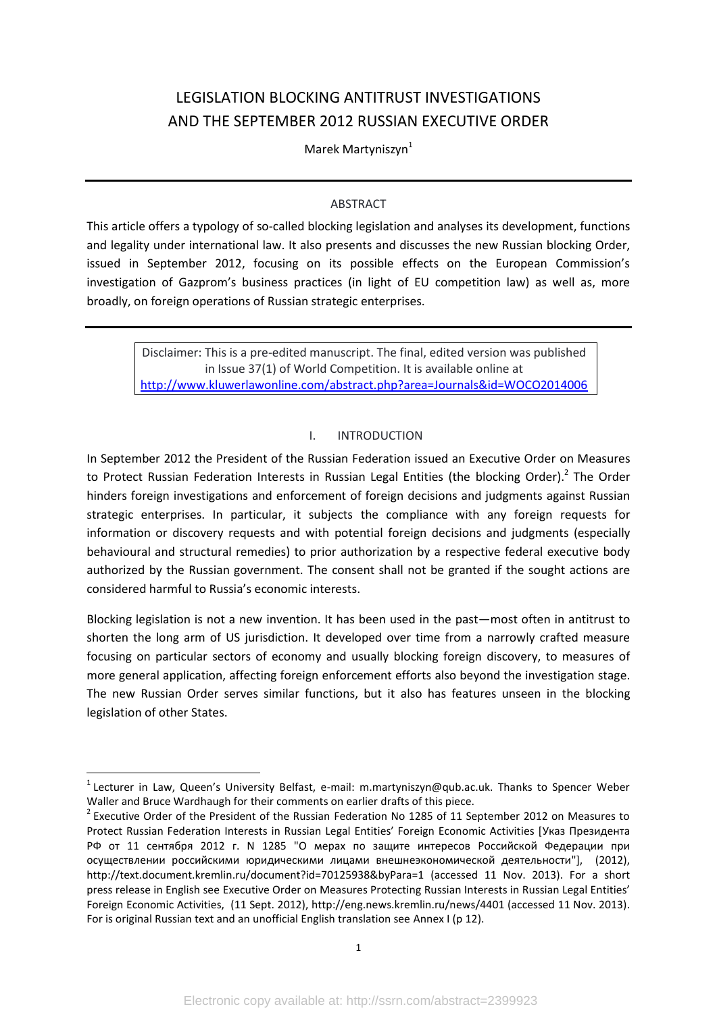# LEGISLATION BLOCKING ANTITRUST INVESTIGATIONS AND THE SEPTEMBER 2012 RUSSIAN EXECUTIVE ORDER

Marek Martyniszyn<sup>1</sup>

## ABSTRACT

This article offers a typology of so-called blocking legislation and analyses its development, functions and legality under international law. It also presents and discusses the new Russian blocking Order, issued in September 2012, focusing on its possible effects on the European Commission's investigation of Gazprom's business practices (in light of EU competition law) as well as, more broadly, on foreign operations of Russian strategic enterprises.

Disclaimer: This is a pre-edited manuscript. The final, edited version was published in Issue 37(1) of World Competition. It is available online at <http://www.kluwerlawonline.com/abstract.php?area=Journals&id=WOCO2014006>

# <span id="page-1-0"></span>I. INTRODUCTION

In September 2012 the President of the Russian Federation issued an Executive Order on Measures to Protect Russian Federation Interests in Russian Legal Entities (the blocking Order).<sup>2</sup> The Order hinders foreign investigations and enforcement of foreign decisions and judgments against Russian strategic enterprises. In particular, it subjects the compliance with any foreign requests for information or discovery requests and with potential foreign decisions and judgments (especially behavioural and structural remedies) to prior authorization by a respective federal executive body authorized by the Russian government. The consent shall not be granted if the sought actions are considered harmful to Russia's economic interests.

Blocking legislation is not a new invention. It has been used in the past—most often in antitrust to shorten the long arm of US jurisdiction. It developed over time from a narrowly crafted measure focusing on particular sectors of economy and usually blocking foreign discovery, to measures of more general application, affecting foreign enforcement efforts also beyond the investigation stage. The new Russian Order serves similar functions, but it also has features unseen in the blocking legislation of other States.

<sup>&</sup>lt;sup>1</sup> Lecturer in Law, Queen's University Belfast, e-mail: m.martyniszyn@qub.ac.uk. Thanks to Spencer Weber Waller and Bruce Wardhaugh for their comments on earlier drafts of this piece.

<sup>&</sup>lt;sup>2</sup> Executive Order of the President of the Russian Federation No 1285 of 11 September 2012 on Measures to Protect Russian Federation Interests in Russian Legal Entities' Foreign Economic Activities [Указ Президента РФ от 11 сентября 2012 г. N 1285 "О мерах по защите интересов Российской Федерации при осуществлении российскими юридическими лицами внешнеэкономической деятельности"], (2012), http://text.document.kremlin.ru/document?id=70125938&byPara=1 (accessed 11 Nov. 2013). For a short press release in English see Executive Order on Measures Protecting Russian Interests in Russian Legal Entities' Foreign Economic Activities, (11 Sept. 2012), http://eng.news.kremlin.ru/news/4401 (accessed 11 Nov. 2013). For is original Russian text and an unofficial English translation see [Annex I](#page-12-0) ([p 12\)](#page-12-0).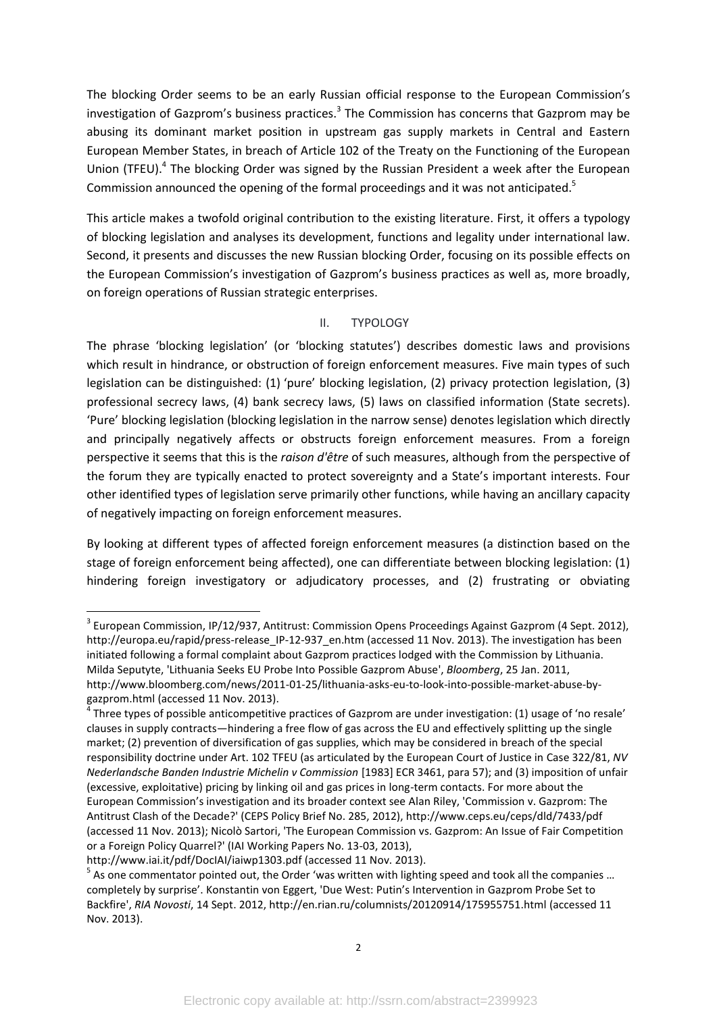The blocking Order seems to be an early Russian official response to the European Commission's investigation of Gazprom's business practices.<sup>3</sup> The Commission has concerns that Gazprom may be abusing its dominant market position in upstream gas supply markets in Central and Eastern European Member States, in breach of Article 102 of the Treaty on the Functioning of the European Union (TFEU).<sup>4</sup> The blocking Order was signed by the Russian President a week after the European Commission announced the opening of the formal proceedings and it was not anticipated.<sup>5</sup>

<span id="page-2-1"></span>This article makes a twofold original contribution to the existing literature. First, it offers a typology of blocking legislation and analyses its development, functions and legality under international law. Second, it presents and discusses the new Russian blocking Order, focusing on its possible effects on the European Commission's investigation of Gazprom's business practices as well as, more broadly, on foreign operations of Russian strategic enterprises.

### <span id="page-2-0"></span>II. TYPOLOGY

The phrase 'blocking legislation' (or 'blocking statutes') describes domestic laws and provisions which result in hindrance, or obstruction of foreign enforcement measures. Five main types of such legislation can be distinguished: (1) 'pure' blocking legislation, (2) privacy protection legislation, (3) professional secrecy laws, (4) bank secrecy laws, (5) laws on classified information (State secrets). 'Pure' blocking legislation (blocking legislation in the narrow sense) denotes legislation which directly and principally negatively affects or obstructs foreign enforcement measures. From a foreign perspective it seems that this is the *raison d'être* of such measures, although from the perspective of the forum they are typically enacted to protect sovereignty and a State's important interests. Four other identified types of legislation serve primarily other functions, while having an ancillary capacity of negatively impacting on foreign enforcement measures.

By looking at different types of affected foreign enforcement measures (a distinction based on the stage of foreign enforcement being affected), one can differentiate between blocking legislation: (1) hindering foreign investigatory or adjudicatory processes, and (2) frustrating or obviating

 $\overline{a}$ 

<sup>&</sup>lt;sup>3</sup> European Commission, IP/12/937, Antitrust: Commission Opens Proceedings Against Gazprom (4 Sept. 2012), http://europa.eu/rapid/press-release\_IP-12-937\_en.htm (accessed 11 Nov. 2013). The investigation has been initiated following a formal complaint about Gazprom practices lodged with the Commission by Lithuania. Milda Seputyte, 'Lithuania Seeks EU Probe Into Possible Gazprom Abuse', *Bloomberg*, 25 Jan. 2011, http://www.bloomberg.com/news/2011-01-25/lithuania-asks-eu-to-look-into-possible-market-abuse-bygazprom.html (accessed 11 Nov. 2013).

 $^4$  Three types of possible anticompetitive practices of Gazprom are under investigation: (1) usage of 'no resale' clauses in supply contracts—hindering a free flow of gas across the EU and effectively splitting up the single market; (2) prevention of diversification of gas supplies, which may be considered in breach of the special responsibility doctrine under Art. 102 TFEU (as articulated by the European Court of Justice in Case 322/81, *NV Nederlandsche Banden Industrie Michelin v Commission* [1983] ECR 3461, para 57); and (3) imposition of unfair (excessive, exploitative) pricing by linking oil and gas prices in long-term contacts. For more about the European Commission's investigation and its broader context see Alan Riley, 'Commission v. Gazprom: The Antitrust Clash of the Decade?' (CEPS Policy Brief No. 285, 2012), http://www.ceps.eu/ceps/dld/7433/pdf (accessed 11 Nov. 2013); Nicolò Sartori, 'The European Commission vs. Gazprom: An Issue of Fair Competition or a Foreign Policy Quarrel?' (IAI Working Papers No. 13-03, 2013),

http://www.iai.it/pdf/DocIAI/iaiwp1303.pdf (accessed 11 Nov. 2013).

 $<sup>5</sup>$  As one commentator pointed out, the Order 'was written with lighting speed and took all the companies ...</sup> completely by surprise'. Konstantin von Eggert, 'Due West: Putin's Intervention in Gazprom Probe Set to Backfire', *RIA Novosti*, 14 Sept. 2012, http://en.rian.ru/columnists/20120914/175955751.html (accessed 11 Nov. 2013).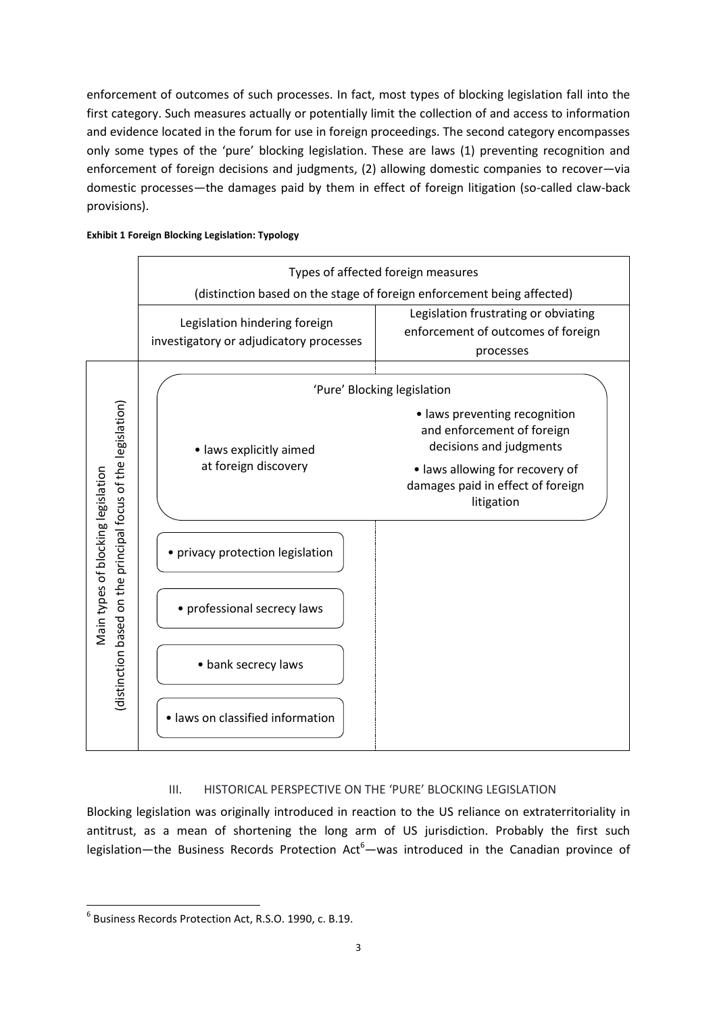enforcement of outcomes of such processes. In fact, most types of blocking legislation fall into the first category. Such measures actually or potentially limit the collection of and access to information and evidence located in the forum for use in foreign proceedings. The second category encompasses only some types of the 'pure' blocking legislation. These are laws (1) preventing recognition and enforcement of foreign decisions and judgments, (2) allowing domestic companies to recover—via domestic processes—the damages paid by them in effect of foreign litigation (so-called claw-back provisions).

|  | <b>Exhibit 1 Foreign Blocking Legislation: Typology</b> |  |
|--|---------------------------------------------------------|--|
|--|---------------------------------------------------------|--|



# <span id="page-3-0"></span>III. HISTORICAL PERSPECTIVE ON THE 'PURE' BLOCKING LEGISLATION

Blocking legislation was originally introduced in reaction to the US reliance on extraterritoriality in antitrust, as a mean of shortening the long arm of US jurisdiction. Probably the first such legislation—the Business Records Protection Act<sup>6</sup>—was introduced in the Canadian province of

<sup>6</sup> Business Records Protection Act, R.S.O. 1990, c. B.19.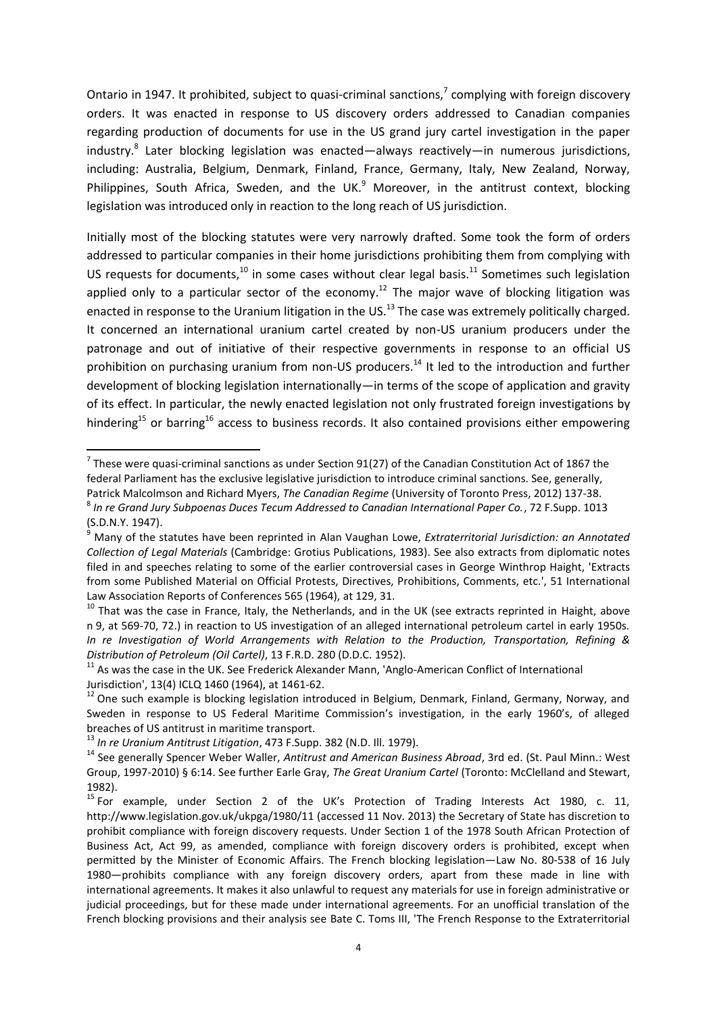Ontario in 1947. It prohibited, subject to quasi-criminal sanctions,<sup>7</sup> complying with foreign discovery orders. It was enacted in response to US discovery orders addressed to Canadian companies regarding production of documents for use in the US grand jury cartel investigation in the paper industry.<sup>8</sup> Later blocking legislation was enacted—always reactively—in numerous jurisdictions, including: Australia, Belgium, Denmark, Finland, France, Germany, Italy, New Zealand, Norway, Philippines, South Africa, Sweden, and the UK. $<sup>9</sup>$  Moreover, in the antitrust context, blocking</sup> legislation was introduced only in reaction to the long reach of US jurisdiction.

<span id="page-4-3"></span><span id="page-4-0"></span>Initially most of the blocking statutes were very narrowly drafted. Some took the form of orders addressed to particular companies in their home jurisdictions prohibiting them from complying with US requests for documents, $10$  in some cases without clear legal basis.<sup>11</sup> Sometimes such legislation applied only to a particular sector of the economy.<sup>12</sup> The major wave of blocking litigation was enacted in response to the Uranium litigation in the US.<sup>13</sup> The case was extremely politically charged. It concerned an international uranium cartel created by non-US uranium producers under the patronage and out of initiative of their respective governments in response to an official US prohibition on purchasing uranium from non-US producers.<sup>14</sup> It led to the introduction and further development of blocking legislation internationally—in terms of the scope of application and gravity of its effect. In particular, the newly enacted legislation not only frustrated foreign investigations by hindering<sup>15</sup> or barring<sup>16</sup> access to business records. It also contained provisions either empowering

<span id="page-4-2"></span><span id="page-4-1"></span><sup>1</sup>  $^7$  These were quasi-criminal sanctions as under Section 91(27) of the Canadian Constitution Act of 1867 the federal Parliament has the exclusive legislative jurisdiction to introduce criminal sanctions. See, generally, Patrick Malcolmson and Richard Myers, *The Canadian Regime* (University of Toronto Press, 2012) 137-38. 8 *In re Grand Jury Subpoenas Duces Tecum Addressed to Canadian International Paper Co.*, 72 F.Supp. 1013

 $(S.D.N.Y. 1947)$ .

<sup>9</sup> Many of the statutes have been reprinted in Alan Vaughan Lowe, *Extraterritorial Jurisdiction: an Annotated Collection of Legal Materials* (Cambridge: Grotius Publications, 1983). See also extracts from diplomatic notes filed in and speeches relating to some of the earlier controversial cases in George Winthrop Haight, 'Extracts from some Published Material on Official Protests, Directives, Prohibitions, Comments, etc.', 51 International Law Association Reports of Conferences 565 (1964), at 129, 31.

<sup>&</sup>lt;sup>10</sup> That was the case in France, Italy, the Netherlands, and in the UK (see extracts reprinted in Haight, above n [9,](#page-4-0) at 569-70, 72.) in reaction to US investigation of an alleged international petroleum cartel in early 1950s. *In re Investigation of World Arrangements with Relation to the Production, Transportation, Refining & Distribution of Petroleum (Oil Cartel)*, 13 F.R.D. 280 (D.D.C. 1952).

 $11$  As was the case in the UK. See Frederick Alexander Mann, 'Anglo-American Conflict of International Jurisdiction', 13(4) ICLQ 1460 (1964), at 1461-62.

<sup>&</sup>lt;sup>12</sup> One such example is blocking legislation introduced in Belgium, Denmark, Finland, Germany, Norway, and Sweden in response to US Federal Maritime Commission's investigation, in the early 1960's, of alleged breaches of US antitrust in maritime transport.

<sup>13</sup> *In re Uranium Antitrust Litigation*, 473 F.Supp. 382 (N.D. Ill. 1979).

<sup>14</sup> See generally Spencer Weber Waller, *Antitrust and American Business Abroad*, 3rd ed. (St. Paul Minn.: West Group, 1997-2010) § 6:14. See further Earle Gray, *The Great Uranium Cartel* (Toronto: McClelland and Stewart, 1982).

<sup>&</sup>lt;sup>15</sup> For example, under Section 2 of the UK's Protection of Trading Interests Act 1980, c. 11, http://www.legislation.gov.uk/ukpga/1980/11 (accessed 11 Nov. 2013) the Secretary of State has discretion to prohibit compliance with foreign discovery requests. Under Section 1 of the 1978 South African Protection of Business Act, Act 99, as amended, compliance with foreign discovery orders is prohibited, except when permitted by the Minister of Economic Affairs. The French blocking legislation—Law No. 80-538 of 16 July 1980—prohibits compliance with any foreign discovery orders, apart from these made in line with international agreements. It makes it also unlawful to request any materials for use in foreign administrative or judicial proceedings, but for these made under international agreements. For an unofficial translation of the French blocking provisions and their analysis see Bate C. Toms III, 'The French Response to the Extraterritorial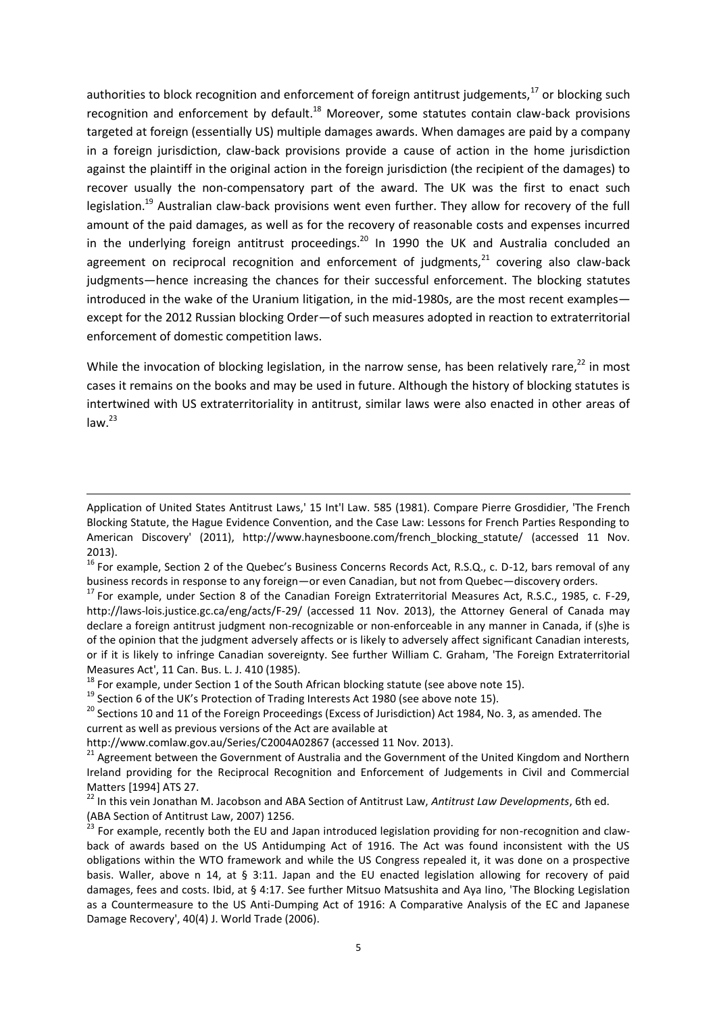authorities to block recognition and enforcement of foreign antitrust judgements, $17$  or blocking such recognition and enforcement by default.<sup>18</sup> Moreover, some statutes contain claw-back provisions targeted at foreign (essentially US) multiple damages awards. When damages are paid by a company in a foreign jurisdiction, claw-back provisions provide a cause of action in the home jurisdiction against the plaintiff in the original action in the foreign jurisdiction (the recipient of the damages) to recover usually the non-compensatory part of the award. The UK was the first to enact such legislation.<sup>19</sup> Australian claw-back provisions went even further. They allow for recovery of the full amount of the paid damages, as well as for the recovery of reasonable costs and expenses incurred in the underlying foreign antitrust proceedings.<sup>20</sup> In 1990 the UK and Australia concluded an agreement on reciprocal recognition and enforcement of judgments, $21$  covering also claw-back judgments—hence increasing the chances for their successful enforcement. The blocking statutes introduced in the wake of the Uranium litigation, in the mid-1980s, are the most recent examples except for the 2012 Russian blocking Order—of such measures adopted in reaction to extraterritorial enforcement of domestic competition laws.

While the invocation of blocking legislation, in the narrow sense, has been relatively rare, $^{22}$  in most cases it remains on the books and may be used in future. Although the history of blocking statutes is intertwined with US extraterritoriality in antitrust, similar laws were also enacted in other areas of  $law.<sup>23</sup>$ 

Application of United States Antitrust Laws,' 15 Int'l Law. 585 (1981). Compare Pierre Grosdidier, 'The French Blocking Statute, the Hague Evidence Convention, and the Case Law: Lessons for French Parties Responding to American Discovery' (2011), http://www.haynesboone.com/french\_blocking\_statute/ (accessed 11 Nov. 2013).

<sup>&</sup>lt;sup>16</sup> For example, Section 2 of the Quebec's Business Concerns Records Act, R.S.Q., c. D-12, bars removal of any business records in response to any foreign—or even Canadian, but not from Quebec—discovery orders.

<sup>&</sup>lt;sup>17</sup> For example, under Section 8 of the Canadian Foreign Extraterritorial Measures Act, R.S.C., 1985, c. F-29, http://laws-lois.justice.gc.ca/eng/acts/F-29/ (accessed 11 Nov. 2013), the Attorney General of Canada may declare a foreign antitrust judgment non-recognizable or non-enforceable in any manner in Canada, if (s)he is of the opinion that the judgment adversely affects or is likely to adversely affect significant Canadian interests, or if it is likely to infringe Canadian sovereignty. See further William C. Graham, 'The Foreign Extraterritorial Measures Act', 11 Can. Bus. L. J. 410 (1985).

 $18$  For example, under Section 1 of the South African blocking statute (see above note [15\)](#page-4-1).

 $19$  Section 6 of the UK's Protection of Trading Interests Act 1980 (see above note [15\)](#page-4-1).

 $20$  Sections 10 and 11 of the Foreign Proceedings (Excess of Jurisdiction) Act 1984, No. 3, as amended. The current as well as previous versions of the Act are available at

http://www.comlaw.gov.au/Series/C2004A02867 (accessed 11 Nov. 2013).

<sup>&</sup>lt;sup>21</sup> Agreement between the Government of Australia and the Government of the United Kingdom and Northern Ireland providing for the Reciprocal Recognition and Enforcement of Judgements in Civil and Commercial Matters [1994] ATS 27.

<sup>22</sup> In this vein Jonathan M. Jacobson and ABA Section of Antitrust Law, *Antitrust Law Developments*, 6th ed. (ABA Section of Antitrust Law, 2007) 1256.

<sup>23</sup> For example, recently both the EU and Japan introduced legislation providing for non-recognition and clawback of awards based on the US Antidumping Act of 1916. The Act was found inconsistent with the US obligations within the WTO framework and while the US Congress repealed it, it was done on a prospective basis. Waller, above n [14,](#page-4-2) at § 3:11. Japan and the EU enacted legislation allowing for recovery of paid damages, fees and costs. Ibid, at § 4:17. See further Mitsuo Matsushita and Aya Iino, 'The Blocking Legislation as a Countermeasure to the US Anti-Dumping Act of 1916: A Comparative Analysis of the EC and Japanese Damage Recovery', 40(4) J. World Trade (2006).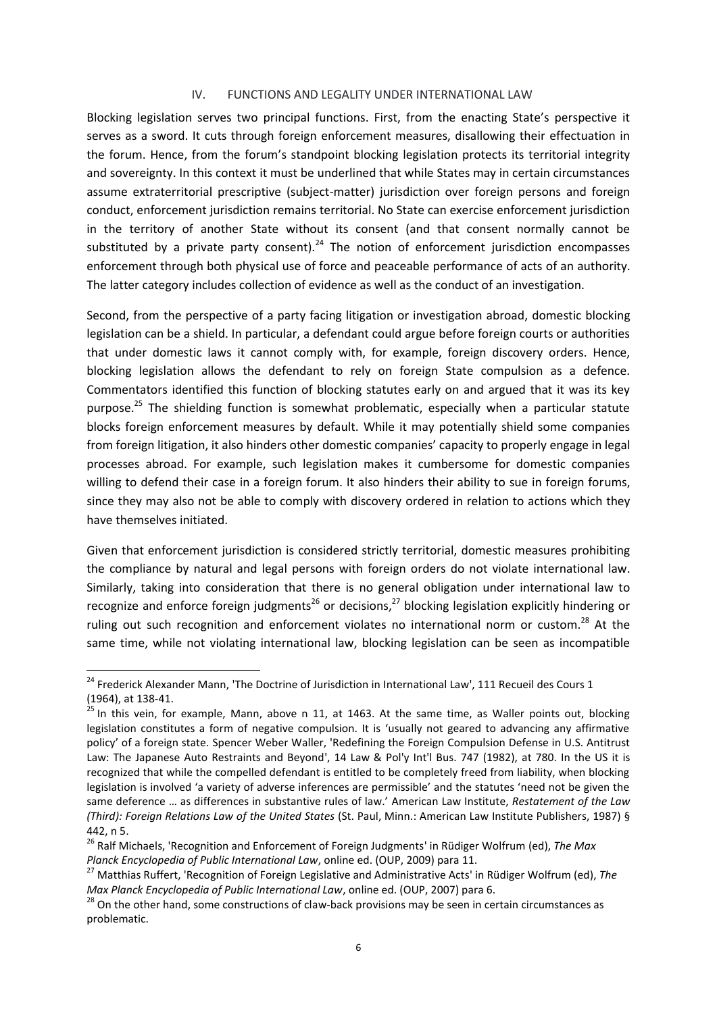#### IV. FUNCTIONS AND LEGALITY UNDER INTERNATIONAL LAW

Blocking legislation serves two principal functions. First, from the enacting State's perspective it serves as a sword. It cuts through foreign enforcement measures, disallowing their effectuation in the forum. Hence, from the forum's standpoint blocking legislation protects its territorial integrity and sovereignty. In this context it must be underlined that while States may in certain circumstances assume extraterritorial prescriptive (subject-matter) jurisdiction over foreign persons and foreign conduct, enforcement jurisdiction remains territorial. No State can exercise enforcement jurisdiction in the territory of another State without its consent (and that consent normally cannot be substituted by a private party consent).<sup>24</sup> The notion of enforcement jurisdiction encompasses enforcement through both physical use of force and peaceable performance of acts of an authority. The latter category includes collection of evidence as well as the conduct of an investigation.

Second, from the perspective of a party facing litigation or investigation abroad, domestic blocking legislation can be a shield. In particular, a defendant could argue before foreign courts or authorities that under domestic laws it cannot comply with, for example, foreign discovery orders. Hence, blocking legislation allows the defendant to rely on foreign State compulsion as a defence. Commentators identified this function of blocking statutes early on and argued that it was its key purpose.<sup>25</sup> The shielding function is somewhat problematic, especially when a particular statute blocks foreign enforcement measures by default. While it may potentially shield some companies from foreign litigation, it also hinders other domestic companies' capacity to properly engage in legal processes abroad. For example, such legislation makes it cumbersome for domestic companies willing to defend their case in a foreign forum. It also hinders their ability to sue in foreign forums, since they may also not be able to comply with discovery ordered in relation to actions which they have themselves initiated.

Given that enforcement jurisdiction is considered strictly territorial, domestic measures prohibiting the compliance by natural and legal persons with foreign orders do not violate international law. Similarly, taking into consideration that there is no general obligation under international law to recognize and enforce foreign judgments<sup>26</sup> or decisions,<sup>27</sup> blocking legislation explicitly hindering or ruling out such recognition and enforcement violates no international norm or custom.<sup>28</sup> At the same time, while not violating international law, blocking legislation can be seen as incompatible

 $24$  Frederick Alexander Mann, 'The Doctrine of Jurisdiction in International Law', 111 Recueil des Cours 1 (1964), at 138-41.

 $25$  In this vein, for example, Mann, above n [11,](#page-4-3) at 1463. At the same time, as Waller points out, blocking legislation constitutes a form of negative compulsion. It is 'usually not geared to advancing any affirmative policy' of a foreign state. Spencer Weber Waller, 'Redefining the Foreign Compulsion Defense in U.S. Antitrust Law: The Japanese Auto Restraints and Beyond', 14 Law & Pol'y Int'l Bus. 747 (1982), at 780. In the US it is recognized that while the compelled defendant is entitled to be completely freed from liability, when blocking legislation is involved 'a variety of adverse inferences are permissible' and the statutes 'need not be given the same deference … as differences in substantive rules of law.' American Law Institute, *Restatement of the Law (Third): Foreign Relations Law of the United States* (St. Paul, Minn.: American Law Institute Publishers, 1987) § 442, n 5.

<sup>26</sup> Ralf Michaels, 'Recognition and Enforcement of Foreign Judgments' in Rüdiger Wolfrum (ed), *The Max Planck Encyclopedia of Public International Law*, online ed. (OUP, 2009) para 11.

<sup>27</sup> Matthias Ruffert, 'Recognition of Foreign Legislative and Administrative Acts' in Rüdiger Wolfrum (ed), *The Max Planck Encyclopedia of Public International Law*, online ed. (OUP, 2007) para 6.

<sup>&</sup>lt;sup>28</sup> On the other hand, some constructions of claw-back provisions may be seen in certain circumstances as problematic.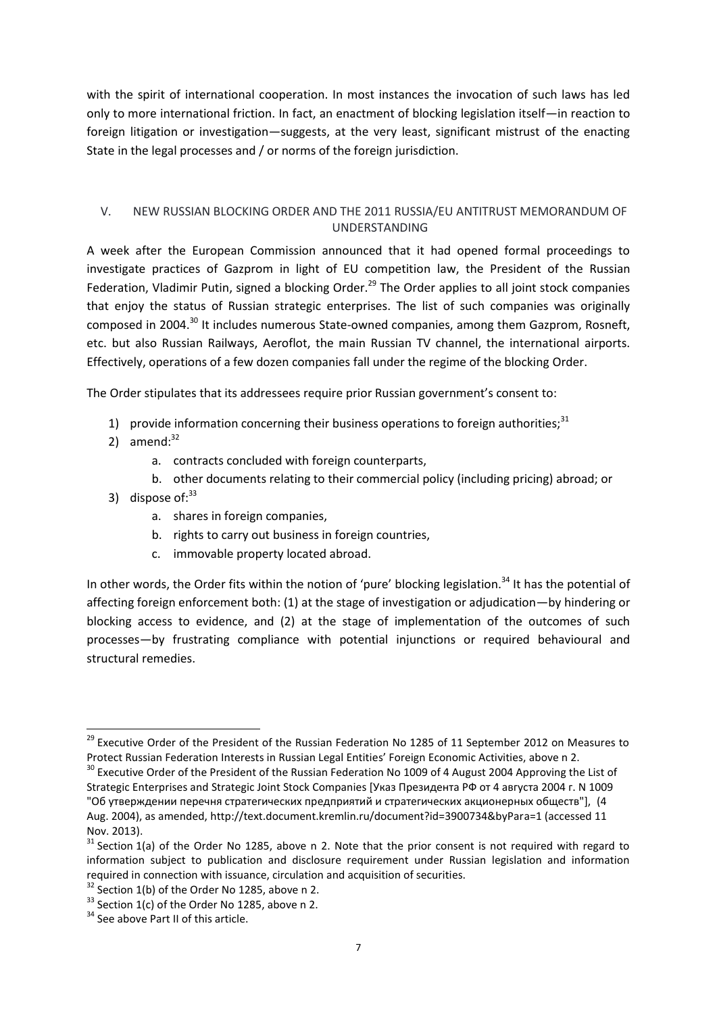with the spirit of international cooperation. In most instances the invocation of such laws has led only to more international friction. In fact, an enactment of blocking legislation itself—in reaction to foreign litigation or investigation—suggests, at the very least, significant mistrust of the enacting State in the legal processes and / or norms of the foreign jurisdiction.

## V. NEW RUSSIAN BLOCKING ORDER AND THE 2011 RUSSIA/EU ANTITRUST MEMORANDUM OF UNDERSTANDING

A week after the European Commission announced that it had opened formal proceedings to investigate practices of Gazprom in light of EU competition law, the President of the Russian Federation, Vladimir Putin, signed a blocking Order.<sup>29</sup> The Order applies to all joint stock companies that enjoy the status of Russian strategic enterprises. The list of such companies was originally composed in 2004.<sup>30</sup> It includes numerous State-owned companies, among them Gazprom, Rosneft, etc. but also Russian Railways, Aeroflot, the main Russian TV channel, the international airports. Effectively, operations of a few dozen companies fall under the regime of the blocking Order.

The Order stipulates that its addressees require prior Russian government's consent to:

- 1) provide information concerning their business operations to foreign authorities; $31$
- 2) amend: $32$

1

- a. contracts concluded with foreign counterparts,
- b. other documents relating to their commercial policy (including pricing) abroad; or
- 3) dispose of: $33$ 
	- a. shares in foreign companies,
	- b. rights to carry out business in foreign countries,
	- c. immovable property located abroad.

In other words, the Order fits within the notion of 'pure' blocking legislation.<sup>34</sup> It has the potential of affecting foreign enforcement both: (1) at the stage of investigation or adjudication—by hindering or blocking access to evidence, and (2) at the stage of implementation of the outcomes of such processes—by frustrating compliance with potential injunctions or required behavioural and structural remedies.

<sup>&</sup>lt;sup>29</sup> Executive Order of the President of the Russian Federation No 1285 of 11 September 2012 on Measures to Protect Russian Federation Interests in Russian Legal Entities' Foreign Economic Activities, above n [2.](#page-1-0)

<sup>&</sup>lt;sup>30</sup> Executive Order of the President of the Russian Federation No 1009 of 4 August 2004 Approving the List of Strategic Enterprises and Strategic Joint Stock Companies [Указ Президента РФ от 4 августа 2004 г. N 1009 "Об утверждении перечня стратегических предприятий и стратегических акционерных обществ"], (4 Aug. 2004), as amended, http://text.document.kremlin.ru/document?id=3900734&byPara=1 (accessed 11 Nov. 2013).

 $31$  Section 1(a) of the Order No 1285, above n [2.](#page-1-0) Note that the prior consent is not required with regard to information subject to publication and disclosure requirement under Russian legislation and information required in connection with issuance, circulation and acquisition of securities.

 $32$  Section 1(b) of the Order No 1285, above n [2.](#page-1-0)

 $33$  Section 1(c) of the Order No 1285, above n [2.](#page-1-0)

<sup>&</sup>lt;sup>34</sup> See above Part II of this article.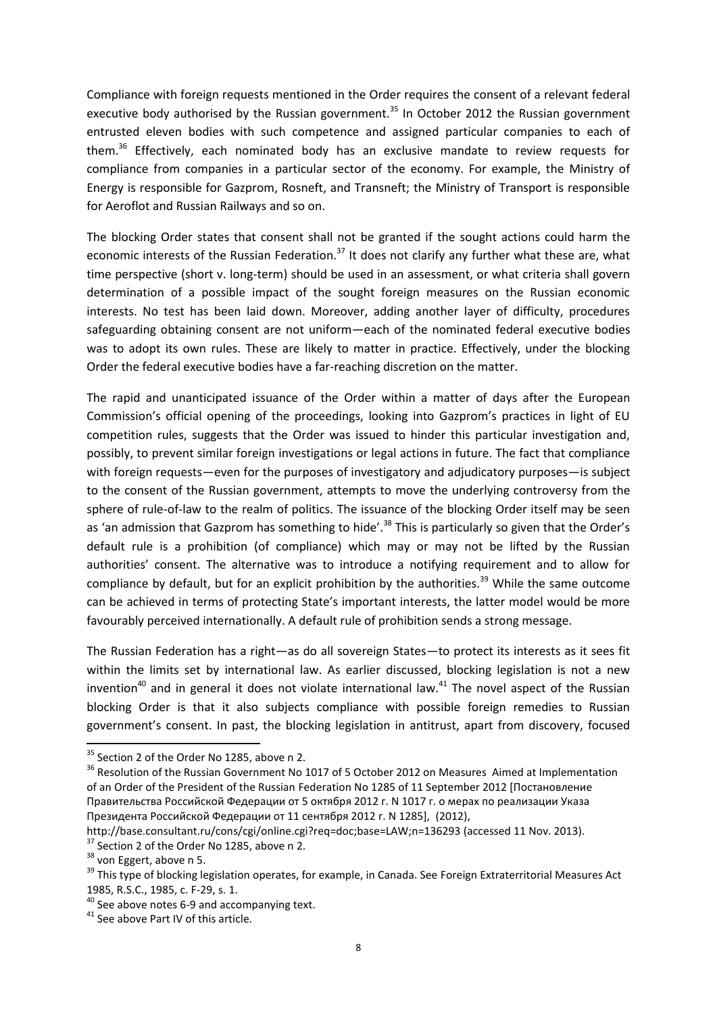Compliance with foreign requests mentioned in the Order requires the consent of a relevant federal executive body authorised by the Russian government.<sup>35</sup> In October 2012 the Russian government entrusted eleven bodies with such competence and assigned particular companies to each of them.<sup>36</sup> Effectively, each nominated body has an exclusive mandate to review requests for compliance from companies in a particular sector of the economy. For example, the Ministry of Energy is responsible for Gazprom, Rosneft, and Transneft; the Ministry of Transport is responsible for Aeroflot and Russian Railways and so on.

The blocking Order states that consent shall not be granted if the sought actions could harm the economic interests of the Russian Federation.<sup>37</sup> It does not clarify any further what these are, what time perspective (short v. long-term) should be used in an assessment, or what criteria shall govern determination of a possible impact of the sought foreign measures on the Russian economic interests. No test has been laid down. Moreover, adding another layer of difficulty, procedures safeguarding obtaining consent are not uniform—each of the nominated federal executive bodies was to adopt its own rules. These are likely to matter in practice. Effectively, under the blocking Order the federal executive bodies have a far-reaching discretion on the matter.

The rapid and unanticipated issuance of the Order within a matter of days after the European Commission's official opening of the proceedings, looking into Gazprom's practices in light of EU competition rules, suggests that the Order was issued to hinder this particular investigation and, possibly, to prevent similar foreign investigations or legal actions in future. The fact that compliance with foreign requests—even for the purposes of investigatory and adjudicatory purposes—is subject to the consent of the Russian government, attempts to move the underlying controversy from the sphere of rule-of-law to the realm of politics. The issuance of the blocking Order itself may be seen as 'an admission that Gazprom has something to hide'.<sup>38</sup> This is particularly so given that the Order's default rule is a prohibition (of compliance) which may or may not be lifted by the Russian authorities' consent. The alternative was to introduce a notifying requirement and to allow for compliance by default, but for an explicit prohibition by the authorities.<sup>39</sup> While the same outcome can be achieved in terms of protecting State's important interests, the latter model would be more favourably perceived internationally. A default rule of prohibition sends a strong message.

The Russian Federation has a right—as do all sovereign States—to protect its interests as it sees fit within the limits set by international law. As earlier discussed, blocking legislation is not a new invention<sup>40</sup> and in general it does not violate international law.<sup>41</sup> The novel aspect of the Russian blocking Order is that it also subjects compliance with possible foreign remedies to Russian government's consent. In past, the blocking legislation in antitrust, apart from discovery, focused

 $\overline{a}$ 

<sup>&</sup>lt;sup>35</sup> Section 2 of the Order No 1285, above [n 2.](#page-1-0)

<sup>&</sup>lt;sup>36</sup> Resolution of the Russian Government No 1017 of 5 October 2012 on Measures Aimed at Implementation of an Order of the President of the Russian Federation No 1285 of 11 September 2012 [Постановление Правительства Российской Федерации от 5 октября 2012 г. N 1017 г. о мерах по реализации Указа Президента Российской Федерации от 11 сентября 2012 г. N 1285], (2012),

http://base.consultant.ru/cons/cgi/online.cgi?req=doc;base=LAW;n=136293 (accessed 11 Nov. 2013).

<sup>&</sup>lt;sup>37</sup> Section 2 of the Order No 1285, above [n 2.](#page-1-0)

 $38$  von Eggert, above [n 5.](#page-2-0)

<sup>&</sup>lt;sup>39</sup> This type of blocking legislation operates, for example, in Canada. See Foreign Extraterritorial Measures Act 1985, R.S.C., 1985, c. F-29, s. 1.

 $40$  See above notes [6-](#page-3-0)[9](#page-4-0) and accompanying text.

<sup>&</sup>lt;sup>41</sup> See above Part IV of this article.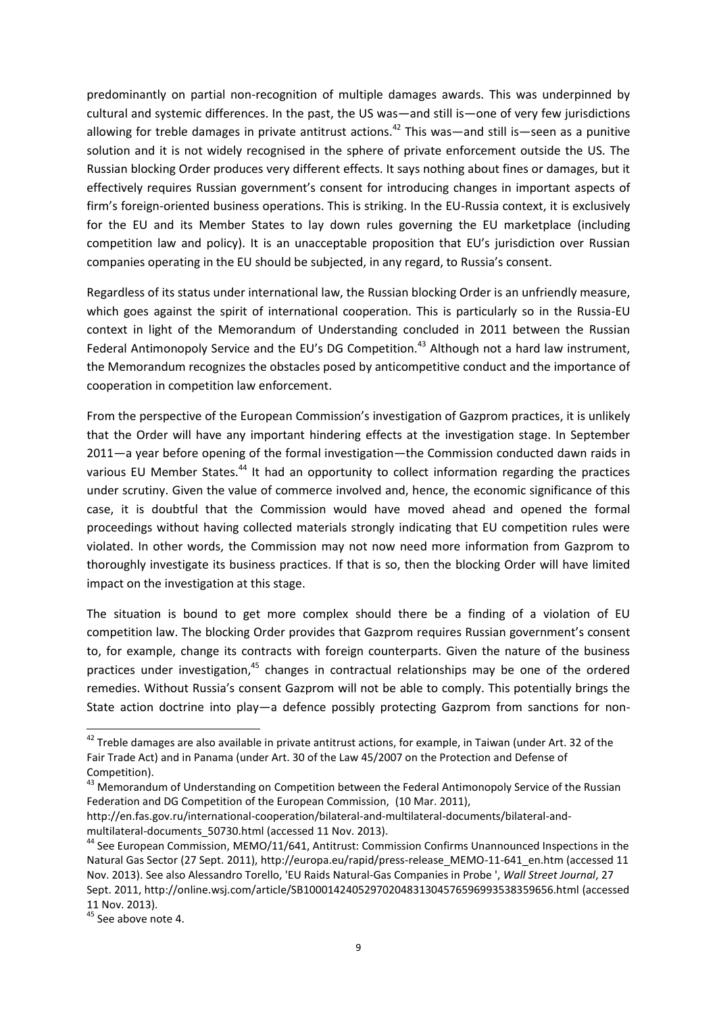predominantly on partial non-recognition of multiple damages awards. This was underpinned by cultural and systemic differences. In the past, the US was—and still is—one of very few jurisdictions allowing for treble damages in private antitrust actions.<sup>42</sup> This was—and still is—seen as a punitive solution and it is not widely recognised in the sphere of private enforcement outside the US. The Russian blocking Order produces very different effects. It says nothing about fines or damages, but it effectively requires Russian government's consent for introducing changes in important aspects of firm's foreign-oriented business operations. This is striking. In the EU-Russia context, it is exclusively for the EU and its Member States to lay down rules governing the EU marketplace (including competition law and policy). It is an unacceptable proposition that EU's jurisdiction over Russian companies operating in the EU should be subjected, in any regard, to Russia's consent.

Regardless of its status under international law, the Russian blocking Order is an unfriendly measure, which goes against the spirit of international cooperation. This is particularly so in the Russia-EU context in light of the Memorandum of Understanding concluded in 2011 between the Russian Federal Antimonopoly Service and the EU's DG Competition.<sup>43</sup> Although not a hard law instrument, the Memorandum recognizes the obstacles posed by anticompetitive conduct and the importance of cooperation in competition law enforcement.

From the perspective of the European Commission's investigation of Gazprom practices, it is unlikely that the Order will have any important hindering effects at the investigation stage. In September 2011—a year before opening of the formal investigation—the Commission conducted dawn raids in various EU Member States.<sup>44</sup> It had an opportunity to collect information regarding the practices under scrutiny. Given the value of commerce involved and, hence, the economic significance of this case, it is doubtful that the Commission would have moved ahead and opened the formal proceedings without having collected materials strongly indicating that EU competition rules were violated. In other words, the Commission may not now need more information from Gazprom to thoroughly investigate its business practices. If that is so, then the blocking Order will have limited impact on the investigation at this stage.

The situation is bound to get more complex should there be a finding of a violation of EU competition law. The blocking Order provides that Gazprom requires Russian government's consent to, for example, change its contracts with foreign counterparts. Given the nature of the business practices under investigation, $45$  changes in contractual relationships may be one of the ordered remedies. Without Russia's consent Gazprom will not be able to comply. This potentially brings the State action doctrine into play—a defence possibly protecting Gazprom from sanctions for non-

1

 $42$  Treble damages are also available in private antitrust actions, for example, in Taiwan (under Art. 32 of the Fair Trade Act) and in Panama (under Art. 30 of the Law 45/2007 on the Protection and Defense of Competition).

<sup>&</sup>lt;sup>43</sup> Memorandum of Understanding on Competition between the Federal Antimonopoly Service of the Russian Federation and DG Competition of the European Commission, (10 Mar. 2011),

http://en.fas.gov.ru/international-cooperation/bilateral-and-multilateral-documents/bilateral-andmultilateral-documents\_50730.html (accessed 11 Nov. 2013).

<sup>&</sup>lt;sup>44</sup> See European Commission, MEMO/11/641, Antitrust: Commission Confirms Unannounced Inspections in the Natural Gas Sector (27 Sept. 2011), http://europa.eu/rapid/press-release\_MEMO-11-641\_en.htm (accessed 11 Nov. 2013). See also Alessandro Torello, 'EU Raids Natural-Gas Companies in Probe ', *Wall Street Journal*, 27 Sept. 2011, http://online.wsj.com/article/SB10001424052970204831304576596993538359656.html (accessed 11 Nov. 2013).

<sup>&</sup>lt;sup>45</sup> See above note [4.](#page-2-1)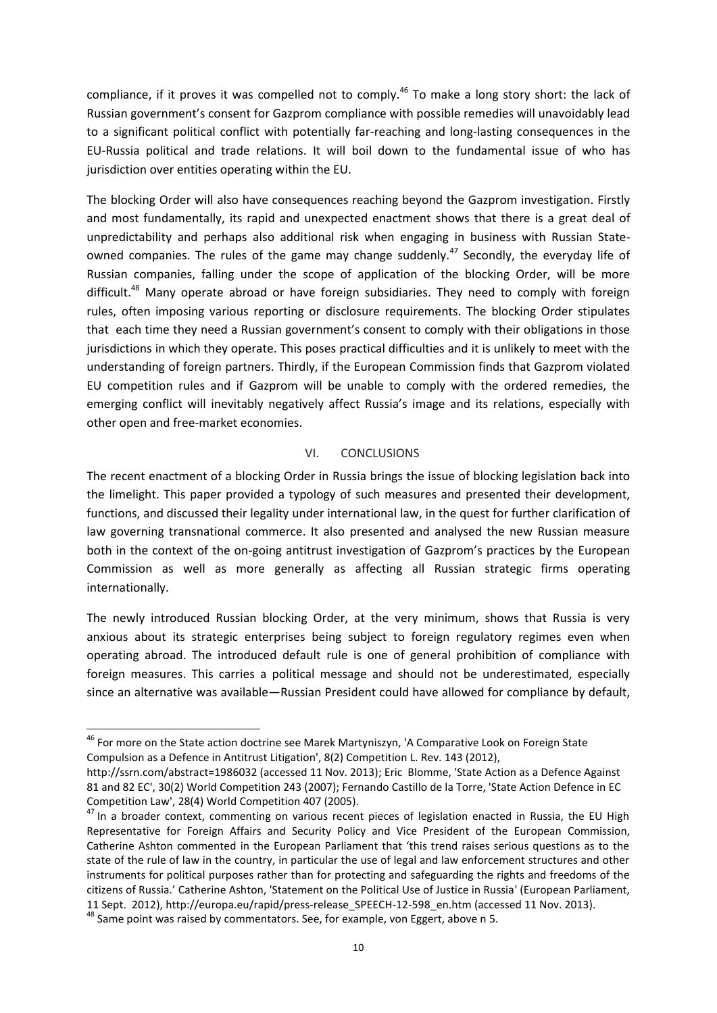compliance, if it proves it was compelled not to comply.<sup>46</sup> To make a long story short: the lack of Russian government's consent for Gazprom compliance with possible remedies will unavoidably lead to a significant political conflict with potentially far-reaching and long-lasting consequences in the EU-Russia political and trade relations. It will boil down to the fundamental issue of who has jurisdiction over entities operating within the EU.

The blocking Order will also have consequences reaching beyond the Gazprom investigation. Firstly and most fundamentally, its rapid and unexpected enactment shows that there is a great deal of unpredictability and perhaps also additional risk when engaging in business with Russian Stateowned companies. The rules of the game may change suddenly.<sup>47</sup> Secondly, the everyday life of Russian companies, falling under the scope of application of the blocking Order, will be more difficult.<sup>48</sup> Many operate abroad or have foreign subsidiaries. They need to comply with foreign rules, often imposing various reporting or disclosure requirements. The blocking Order stipulates that each time they need a Russian government's consent to comply with their obligations in those jurisdictions in which they operate. This poses practical difficulties and it is unlikely to meet with the understanding of foreign partners. Thirdly, if the European Commission finds that Gazprom violated EU competition rules and if Gazprom will be unable to comply with the ordered remedies, the emerging conflict will inevitably negatively affect Russia's image and its relations, especially with other open and free-market economies.

### VI. CONCLUSIONS

The recent enactment of a blocking Order in Russia brings the issue of blocking legislation back into the limelight. This paper provided a typology of such measures and presented their development, functions, and discussed their legality under international law, in the quest for further clarification of law governing transnational commerce. It also presented and analysed the new Russian measure both in the context of the on-going antitrust investigation of Gazprom's practices by the European Commission as well as more generally as affecting all Russian strategic firms operating internationally.

The newly introduced Russian blocking Order, at the very minimum, shows that Russia is very anxious about its strategic enterprises being subject to foreign regulatory regimes even when operating abroad. The introduced default rule is one of general prohibition of compliance with foreign measures. This carries a political message and should not be underestimated, especially since an alternative was available—Russian President could have allowed for compliance by default,

1

<sup>&</sup>lt;sup>46</sup> For more on the State action doctrine see Marek Martyniszyn, 'A Comparative Look on Foreign State Compulsion as a Defence in Antitrust Litigation', 8(2) Competition L. Rev. 143 (2012),

http://ssrn.com/abstract=1986032 (accessed 11 Nov. 2013); Eric Blomme, 'State Action as a Defence Against 81 and 82 EC', 30(2) World Competition 243 (2007); Fernando Castillo de la Torre, 'State Action Defence in EC Competition Law', 28(4) World Competition 407 (2005).

<sup>&</sup>lt;sup>47</sup> In a broader context, commenting on various recent pieces of legislation enacted in Russia, the EU High Representative for Foreign Affairs and Security Policy and Vice President of the European Commission, Catherine Ashton commented in the European Parliament that 'this trend raises serious questions as to the state of the rule of law in the country, in particular the use of legal and law enforcement structures and other instruments for political purposes rather than for protecting and safeguarding the rights and freedoms of the citizens of Russia.' Catherine Ashton, 'Statement on the Political Use of Justice in Russia' (European Parliament, 11 Sept. 2012), http://europa.eu/rapid/press-release\_SPEECH-12-598\_en.htm (accessed 11 Nov. 2013).

 $48$  Same point was raised by commentators. See, for example, von Eggert, above n [5.](#page-2-0)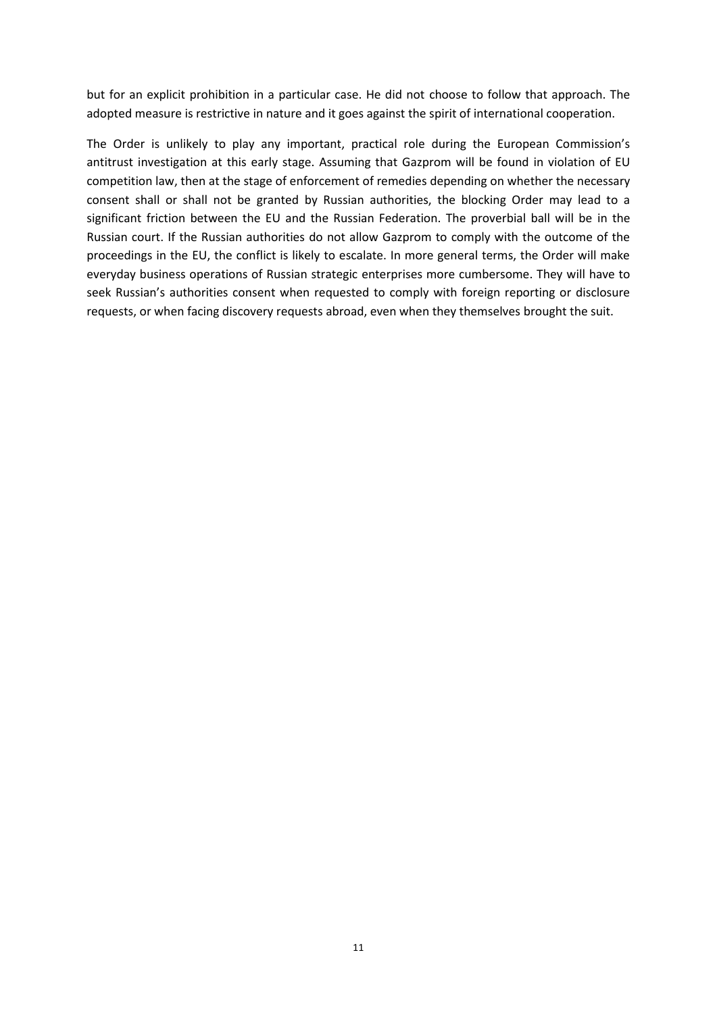but for an explicit prohibition in a particular case. He did not choose to follow that approach. The adopted measure is restrictive in nature and it goes against the spirit of international cooperation.

The Order is unlikely to play any important, practical role during the European Commission's antitrust investigation at this early stage. Assuming that Gazprom will be found in violation of EU competition law, then at the stage of enforcement of remedies depending on whether the necessary consent shall or shall not be granted by Russian authorities, the blocking Order may lead to a significant friction between the EU and the Russian Federation. The proverbial ball will be in the Russian court. If the Russian authorities do not allow Gazprom to comply with the outcome of the proceedings in the EU, the conflict is likely to escalate. In more general terms, the Order will make everyday business operations of Russian strategic enterprises more cumbersome. They will have to seek Russian's authorities consent when requested to comply with foreign reporting or disclosure requests, or when facing discovery requests abroad, even when they themselves brought the suit.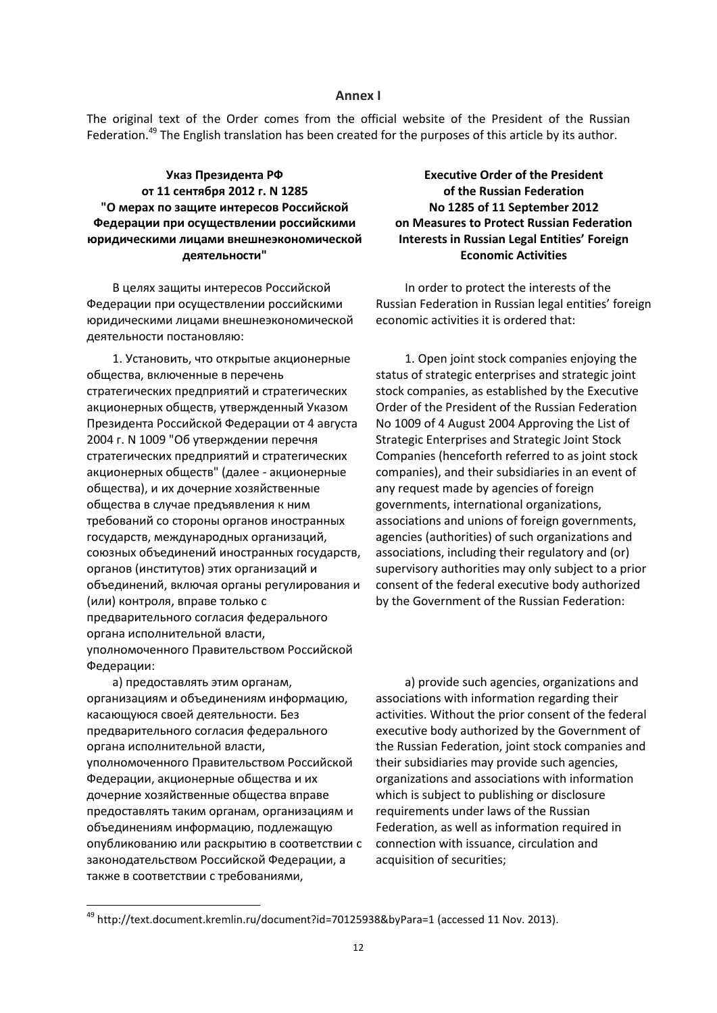#### **Annex I**

<span id="page-12-0"></span>The original text of the Order comes from the official website of the President of the Russian Federation.<sup>49</sup> The English translation has been created for the purposes of this article by its author.

**Указ Президента РФ от 11 сентября 2012 г. N 1285 "О мерах по защите интересов Российской Федерации при осуществлении российскими юридическими лицами внешнеэкономической деятельности"**

В целях защиты интересов Российской Федерации при осуществлении российскими юридическими лицами внешнеэкономической деятельности постановляю:

1. Установить, что открытые акционерные общества, включенные в перечень стратегических предприятий и стратегических акционерных обществ, утвержденный Указом Президента Российской Федерации от 4 августа 2004 г. N 1009 "Об утверждении перечня стратегических предприятий и стратегических акционерных обществ" (далее - акционерные общества), и их дочерние хозяйственные общества в случае предъявления к ним требований со стороны органов иностранных государств, международных организаций, союзных объединений иностранных государств, органов (институтов) этих организаций и объединений, включая органы регулирования и (или) контроля, вправе только с предварительного согласия федерального органа исполнительной власти, уполномоченного Правительством Российской Федерации:

а) предоставлять этим органам, организациям и объединениям информацию, касающуюся своей деятельности. Без предварительного согласия федерального органа исполнительной власти, уполномоченного Правительством Российской Федерации, акционерные общества и их дочерние хозяйственные общества вправе предоставлять таким органам, организациям и объединениям информацию, подлежащую опубликованию или раскрытию в соответствии с законодательством Российской Федерации, а также в соответствии с требованиями,

**.** 

**Executive Order of the President of the Russian Federation No 1285 of 11 September 2012 on Measures to Protect Russian Federation Interests in Russian Legal Entities' Foreign Economic Activities**

In order to protect the interests of the Russian Federation in Russian legal entities' foreign economic activities it is ordered that:

1. Open joint stock companies enjoying the status of strategic enterprises and strategic joint stock companies, as established by the Executive Order of the President of the Russian Federation No 1009 of 4 August 2004 Approving the List of Strategic Enterprises and Strategic Joint Stock Companies (henceforth referred to as joint stock companies), and their subsidiaries in an event of any request made by agencies of foreign governments, international organizations, associations and unions of foreign governments, agencies (authorities) of such organizations and associations, including their regulatory and (or) supervisory authorities may only subject to a prior consent of the federal executive body authorized by the Government of the Russian Federation:

a) provide such agencies, organizations and associations with information regarding their activities. Without the prior consent of the federal executive body authorized by the Government of the Russian Federation, joint stock companies and their subsidiaries may provide such agencies, organizations and associations with information which is subject to publishing or disclosure requirements under laws of the Russian Federation, as well as information required in connection with issuance, circulation and acquisition of securities;

<sup>49</sup> http://text.document.kremlin.ru/document?id=70125938&byPara=1 (accessed 11 Nov. 2013).